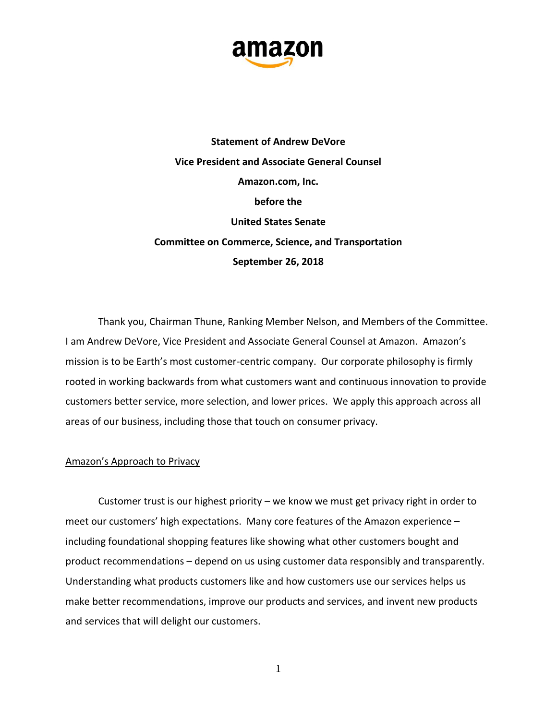

**Statement of Andrew DeVore Vice President and Associate General Counsel Amazon.com, Inc. before the United States Senate Committee on Commerce, Science, and Transportation September 26, 2018**

Thank you, Chairman Thune, Ranking Member Nelson, and Members of the Committee. I am Andrew DeVore, Vice President and Associate General Counsel at Amazon. Amazon's mission is to be Earth's most customer-centric company. Our corporate philosophy is firmly rooted in working backwards from what customers want and continuous innovation to provide customers better service, more selection, and lower prices. We apply this approach across all areas of our business, including those that touch on consumer privacy.

## Amazon's Approach to Privacy

Customer trust is our highest priority – we know we must get privacy right in order to meet our customers' high expectations. Many core features of the Amazon experience – including foundational shopping features like showing what other customers bought and product recommendations – depend on us using customer data responsibly and transparently. Understanding what products customers like and how customers use our services helps us make better recommendations, improve our products and services, and invent new products and services that will delight our customers.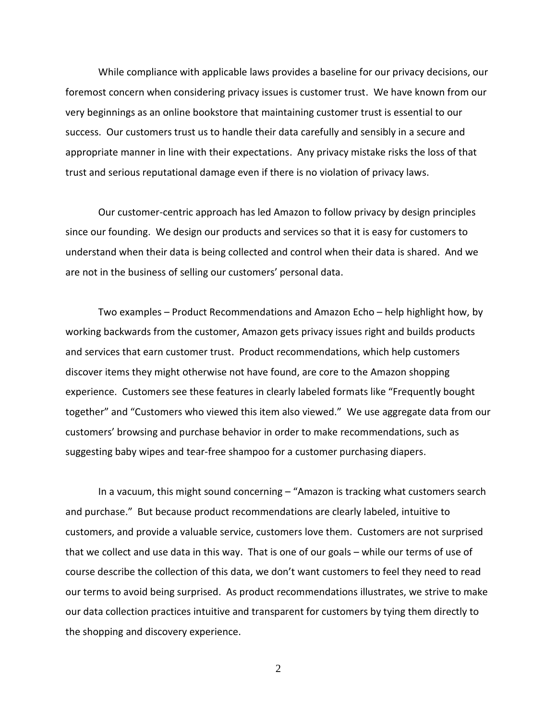While compliance with applicable laws provides a baseline for our privacy decisions, our foremost concern when considering privacy issues is customer trust. We have known from our very beginnings as an online bookstore that maintaining customer trust is essential to our success. Our customers trust us to handle their data carefully and sensibly in a secure and appropriate manner in line with their expectations. Any privacy mistake risks the loss of that trust and serious reputational damage even if there is no violation of privacy laws.

Our customer-centric approach has led Amazon to follow privacy by design principles since our founding. We design our products and services so that it is easy for customers to understand when their data is being collected and control when their data is shared. And we are not in the business of selling our customers' personal data.

Two examples – Product Recommendations and Amazon Echo – help highlight how, by working backwards from the customer, Amazon gets privacy issues right and builds products and services that earn customer trust. Product recommendations, which help customers discover items they might otherwise not have found, are core to the Amazon shopping experience. Customers see these features in clearly labeled formats like "Frequently bought together" and "Customers who viewed this item also viewed." We use aggregate data from our customers' browsing and purchase behavior in order to make recommendations, such as suggesting baby wipes and tear-free shampoo for a customer purchasing diapers.

In a vacuum, this might sound concerning – "Amazon is tracking what customers search and purchase." But because product recommendations are clearly labeled, intuitive to customers, and provide a valuable service, customers love them. Customers are not surprised that we collect and use data in this way. That is one of our goals – while our terms of use of course describe the collection of this data, we don't want customers to feel they need to read our terms to avoid being surprised. As product recommendations illustrates, we strive to make our data collection practices intuitive and transparent for customers by tying them directly to the shopping and discovery experience.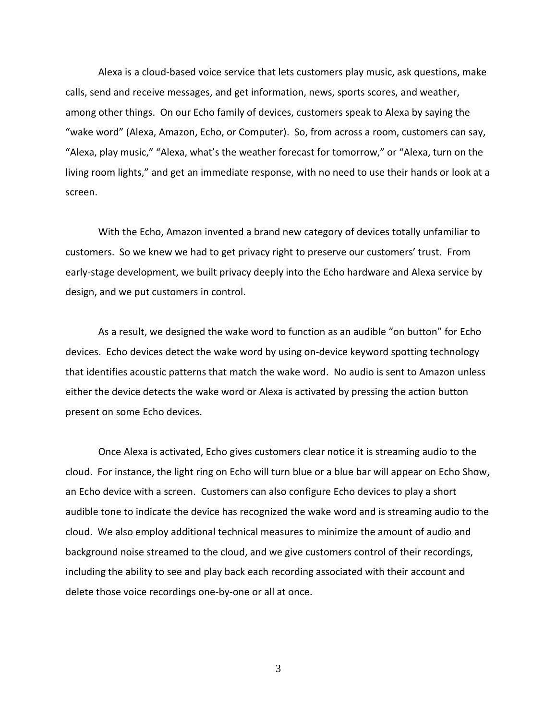Alexa is a cloud-based voice service that lets customers play music, ask questions, make calls, send and receive messages, and get information, news, sports scores, and weather, among other things. On our Echo family of devices, customers speak to Alexa by saying the "wake word" (Alexa, Amazon, Echo, or Computer). So, from across a room, customers can say, "Alexa, play music," "Alexa, what's the weather forecast for tomorrow," or "Alexa, turn on the living room lights," and get an immediate response, with no need to use their hands or look at a screen.

With the Echo, Amazon invented a brand new category of devices totally unfamiliar to customers. So we knew we had to get privacy right to preserve our customers' trust. From early-stage development, we built privacy deeply into the Echo hardware and Alexa service by design, and we put customers in control.

As a result, we designed the wake word to function as an audible "on button" for Echo devices. Echo devices detect the wake word by using on-device keyword spotting technology that identifies acoustic patterns that match the wake word. No audio is sent to Amazon unless either the device detects the wake word or Alexa is activated by pressing the action button present on some Echo devices.

Once Alexa is activated, Echo gives customers clear notice it is streaming audio to the cloud. For instance, the light ring on Echo will turn blue or a blue bar will appear on Echo Show, an Echo device with a screen. Customers can also configure Echo devices to play a short audible tone to indicate the device has recognized the wake word and is streaming audio to the cloud. We also employ additional technical measures to minimize the amount of audio and background noise streamed to the cloud, and we give customers control of their recordings, including the ability to see and play back each recording associated with their account and delete those voice recordings one-by-one or all at once.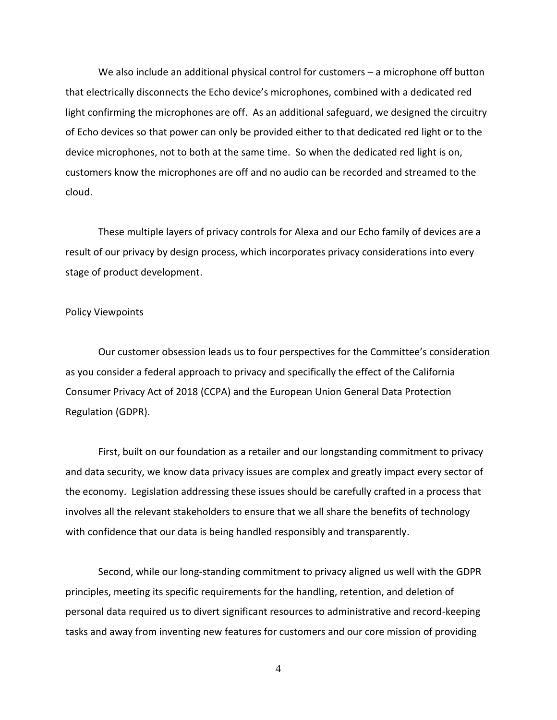We also include an additional physical control for customers – a microphone off button that electrically disconnects the Echo device's microphones, combined with a dedicated red light confirming the microphones are off. As an additional safeguard, we designed the circuitry of Echo devices so that power can only be provided either to that dedicated red light or to the device microphones, not to both at the same time. So when the dedicated red light is on, customers know the microphones are off and no audio can be recorded and streamed to the cloud.

These multiple layers of privacy controls for Alexa and our Echo family of devices are a result of our privacy by design process, which incorporates privacy considerations into every stage of product development.

## Policy Viewpoints

Our customer obsession leads us to four perspectives for the Committee's consideration as you consider a federal approach to privacy and specifically the effect of the California Consumer Privacy Act of 2018 (CCPA) and the European Union General Data Protection Regulation (GDPR).

First, built on our foundation as a retailer and our longstanding commitment to privacy and data security, we know data privacy issues are complex and greatly impact every sector of the economy. Legislation addressing these issues should be carefully crafted in a process that involves all the relevant stakeholders to ensure that we all share the benefits of technology with confidence that our data is being handled responsibly and transparently.

Second, while our long-standing commitment to privacy aligned us well with the GDPR principles, meeting its specific requirements for the handling, retention, and deletion of personal data required us to divert significant resources to administrative and record-keeping tasks and away from inventing new features for customers and our core mission of providing